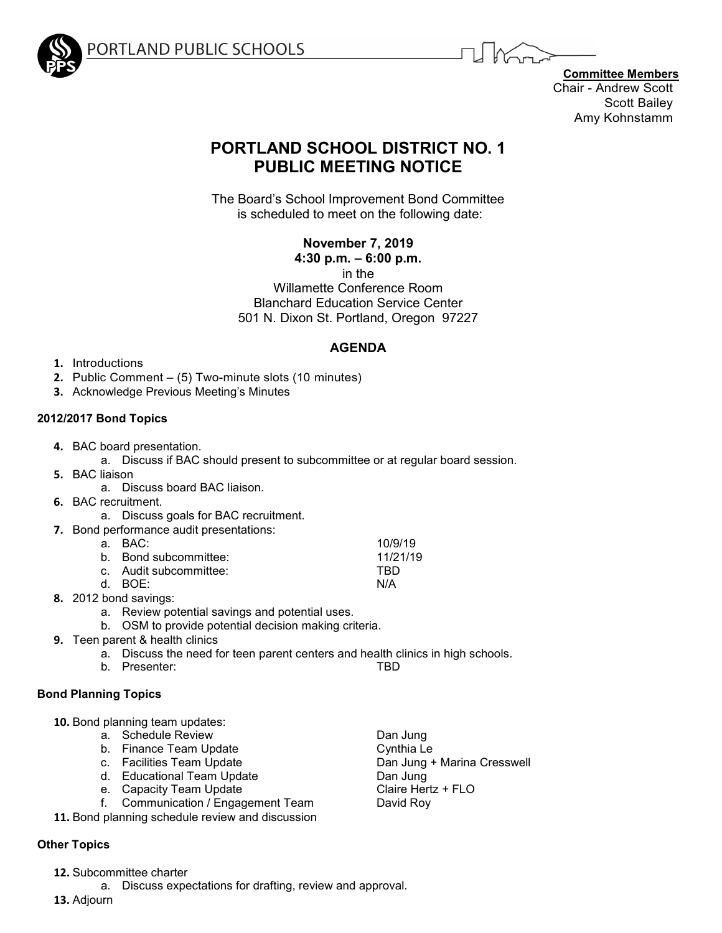

ORTLAND PUBLIC SCHOOLS

**Committee Members** Chair - Andrew Scott Scott Bailey Amy Kohnstamm

# **PORTLAND SCHOOL DISTRICT NO. 1 PUBLIC MEETING NOTICE**

The Board's School Improvement Bond Committee is scheduled to meet on the following date:

**November 7, 2019**

**4:30 p.m. – 6:00 p.m.**

in the

Willamette Conference Room Blanchard Education Service Center 501 N. Dixon St. Portland, Oregon 97227

# **AGENDA**

- **1.** Introductions
- **2.** Public Comment (5) Two-minute slots (10 minutes)
- **3.** Acknowledge Previous Meeting's Minutes

# **2012/2017 Bond Topics**

- **4.** BAC board presentation.
	- a. Discuss if BAC should present to subcommittee or at regular board session.
- **5.** BAC liaison
	- a. Discuss board BAC liaison.
- **6.** BAC recruitment.
	- a. Discuss goals for BAC recruitment.
- **7.** Bond performance audit presentations:

| a. BAC:                | 10/9/19  |
|------------------------|----------|
| b. Bond subcommittee:  | 11/21/19 |
| c. Audit subcommittee: | TRD      |
| d. BOE:                | N/A      |
|                        |          |

- **8.** 2012 bond savings:
	- a. Review potential savings and potential uses.
	- b. OSM to provide potential decision making criteria.
- **9.** Teen parent & health clinics
	- a. Discuss the need for teen parent centers and health clinics in high schools.
	- b. Presenter: TBD

## **Bond Planning Topics**

- **10.** Bond planning team updates:
	- a. Schedule Review **Dan Jung**
	- b. Finance Team Update **Cynthia** Le
	-
	-
	-
	- e. Capacity Team Update between the Claire Hert<br>1. Communication / Engagement Team bavid Roy f. Communication / Engagement Team
- **11.** Bond planning schedule review and discussion

## **Other Topics**

- **12.** Subcommittee charter
	- a. Discuss expectations for drafting, review and approval.
- **13.** Adjourn
- c. Facilities Team Update **Dan Jung + Marina Cresswell** d. Educational Team Update **Dan Jung Contained Band Update** Dan Jung Claire Hertz + FLO